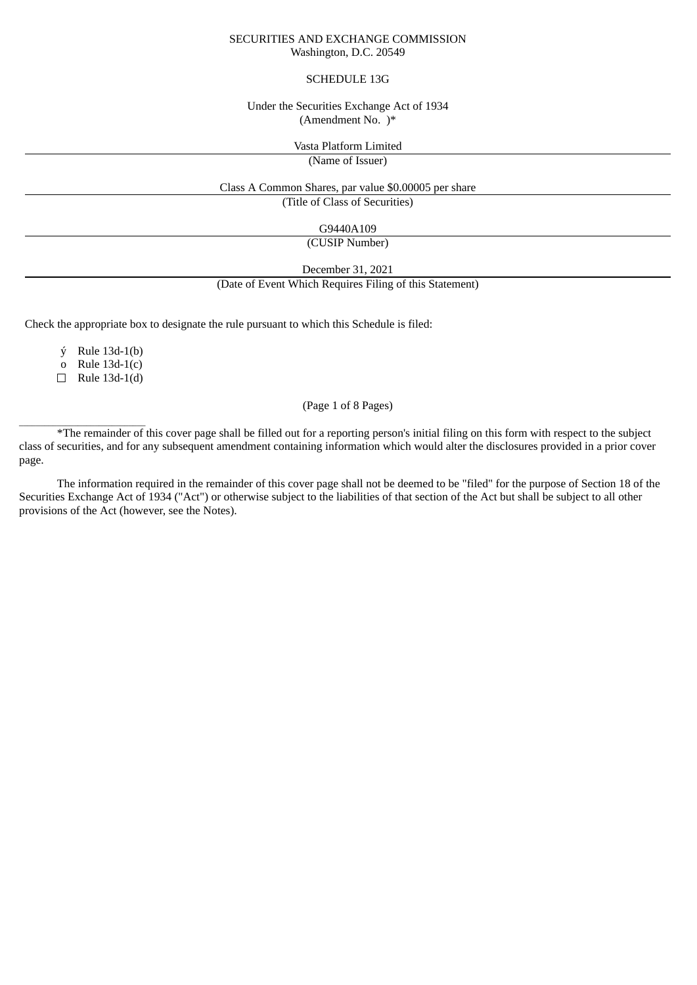#### SECURITIES AND EXCHANGE COMMISSION Washington, D.C. 20549

#### SCHEDULE 13G

#### Under the Securities Exchange Act of 1934 (Amendment No. )\*

Vasta Platform Limited

(Name of Issuer)

Class A Common Shares, par value \$0.00005 per share (Title of Class of Securities)

G9440A109

(CUSIP Number)

December 31, 2021 (Date of Event Which Requires Filing of this Statement)

Check the appropriate box to designate the rule pursuant to which this Schedule is filed:

ý Rule 13d-1(b)

o Rule 13d-1(c)

 $\Box$  Rule 13d-1(d)

\_\_\_\_\_\_\_\_\_\_\_\_\_\_\_\_\_\_\_\_\_\_\_\_\_\_\_\_\_\_

# (Page 1 of 8 Pages)

\*The remainder of this cover page shall be filled out for a reporting person's initial filing on this form with respect to the subject class of securities, and for any subsequent amendment containing information which would alter the disclosures provided in a prior cover page.

The information required in the remainder of this cover page shall not be deemed to be "filed" for the purpose of Section 18 of the Securities Exchange Act of 1934 ("Act") or otherwise subject to the liabilities of that section of the Act but shall be subject to all other provisions of the Act (however, see the Notes).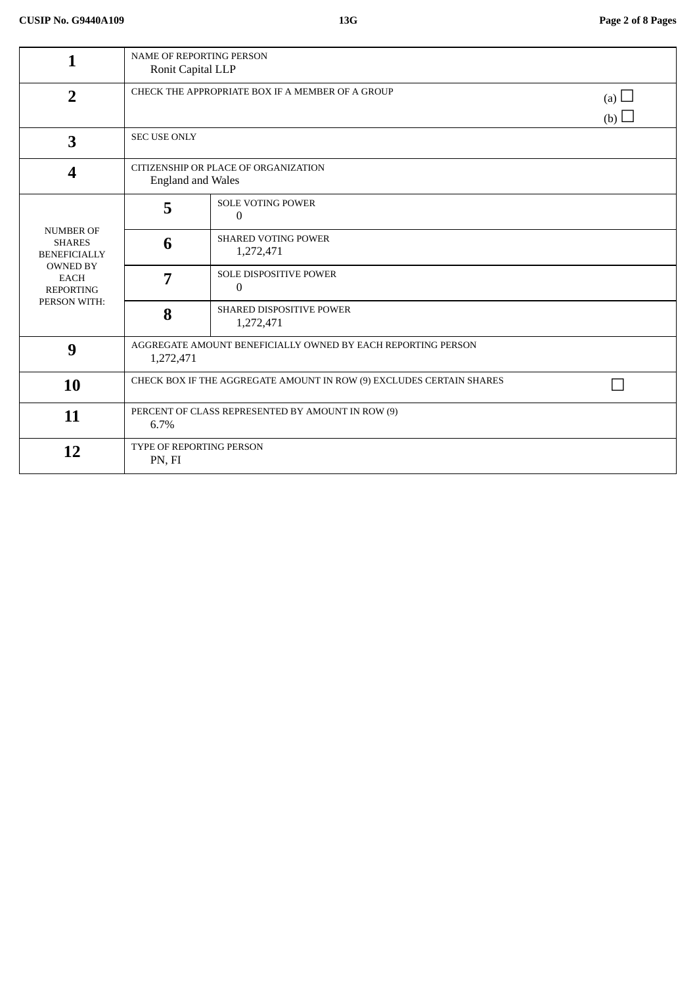|                                                                                                                                | NAME OF REPORTING PERSON<br>Ronit Capital LLP                             |                                              |                   |
|--------------------------------------------------------------------------------------------------------------------------------|---------------------------------------------------------------------------|----------------------------------------------|-------------------|
| $\overline{2}$                                                                                                                 | CHECK THE APPROPRIATE BOX IF A MEMBER OF A GROUP                          |                                              | (a) $\Box$<br>(b) |
| 3                                                                                                                              | SEC USE ONLY                                                              |                                              |                   |
| 4                                                                                                                              | CITIZENSHIP OR PLACE OF ORGANIZATION<br><b>England and Wales</b>          |                                              |                   |
| <b>NUMBER OF</b><br><b>SHARES</b><br><b>BENEFICIALLY</b><br><b>OWNED BY</b><br><b>EACH</b><br><b>REPORTING</b><br>PERSON WITH: | 5                                                                         | <b>SOLE VOTING POWER</b><br>0                |                   |
|                                                                                                                                | 6                                                                         | <b>SHARED VOTING POWER</b><br>1,272,471      |                   |
|                                                                                                                                | 7                                                                         | SOLE DISPOSITIVE POWER<br>0                  |                   |
|                                                                                                                                | 8                                                                         | <b>SHARED DISPOSITIVE POWER</b><br>1,272,471 |                   |
| 9                                                                                                                              | AGGREGATE AMOUNT BENEFICIALLY OWNED BY EACH REPORTING PERSON<br>1,272,471 |                                              |                   |
| 10                                                                                                                             | CHECK BOX IF THE AGGREGATE AMOUNT IN ROW (9) EXCLUDES CERTAIN SHARES      |                                              |                   |
| 11                                                                                                                             | PERCENT OF CLASS REPRESENTED BY AMOUNT IN ROW (9)<br>6.7%                 |                                              |                   |
| 12                                                                                                                             | TYPE OF REPORTING PERSON<br>PN, FI                                        |                                              |                   |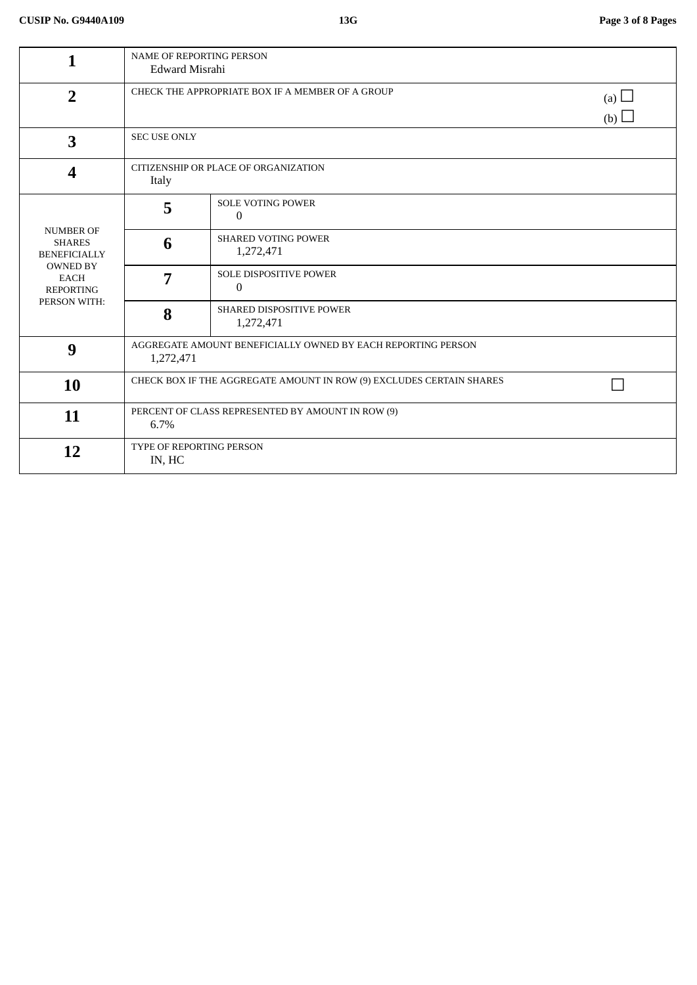| 1                                                                                                                              | <b>NAME OF REPORTING PERSON</b><br>Edward Misrahi                         |                                                 |                   |
|--------------------------------------------------------------------------------------------------------------------------------|---------------------------------------------------------------------------|-------------------------------------------------|-------------------|
| $\overline{2}$                                                                                                                 | CHECK THE APPROPRIATE BOX IF A MEMBER OF A GROUP                          |                                                 | (a) $\Box$<br>(b) |
| 3                                                                                                                              | <b>SEC USE ONLY</b>                                                       |                                                 |                   |
| 4                                                                                                                              | CITIZENSHIP OR PLACE OF ORGANIZATION<br>Italy                             |                                                 |                   |
| <b>NUMBER OF</b><br><b>SHARES</b><br><b>BENEFICIALLY</b><br><b>OWNED BY</b><br><b>EACH</b><br><b>REPORTING</b><br>PERSON WITH: | 5                                                                         | <b>SOLE VOTING POWER</b><br>$\Omega$            |                   |
|                                                                                                                                | 6                                                                         | <b>SHARED VOTING POWER</b><br>1,272,471         |                   |
|                                                                                                                                | 7                                                                         | <b>SOLE DISPOSITIVE POWER</b><br>$\overline{0}$ |                   |
|                                                                                                                                | 8                                                                         | <b>SHARED DISPOSITIVE POWER</b><br>1,272,471    |                   |
| 9                                                                                                                              | AGGREGATE AMOUNT BENEFICIALLY OWNED BY EACH REPORTING PERSON<br>1,272,471 |                                                 |                   |
| <b>10</b>                                                                                                                      | CHECK BOX IF THE AGGREGATE AMOUNT IN ROW (9) EXCLUDES CERTAIN SHARES      |                                                 |                   |
| 11                                                                                                                             | PERCENT OF CLASS REPRESENTED BY AMOUNT IN ROW (9)<br>6.7%                 |                                                 |                   |
| 12                                                                                                                             | TYPE OF REPORTING PERSON<br>IN, HC                                        |                                                 |                   |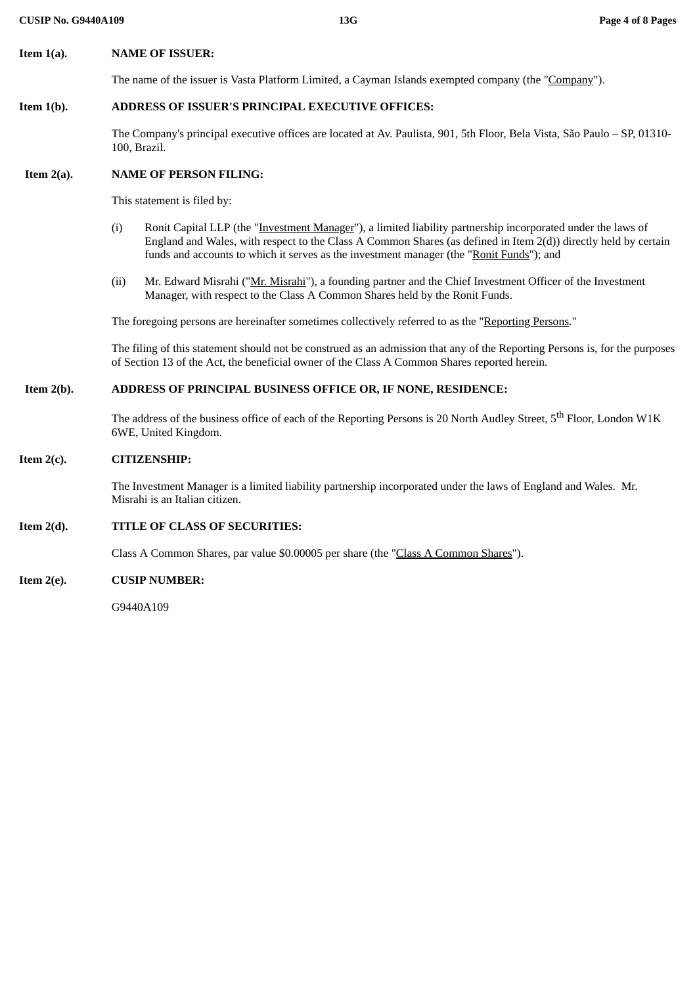# **Item 1(a). NAME OF ISSUER:**

The name of the issuer is Vasta Platform Limited, a Cayman Islands exempted company (the "Company").

# **Item 1(b). ADDRESS OF ISSUER'S PRINCIPAL EXECUTIVE OFFICES:**

The Company's principal executive offices are located at Av. Paulista, 901, 5th Floor, Bela Vista, São Paulo – SP, 01310- 100, Brazil.

# **Item 2(a). NAME OF PERSON FILING:**

This statement is filed by:

- (i) Ronit Capital LLP (the "Investment Manager"), a limited liability partnership incorporated under the laws of England and Wales, with respect to the Class A Common Shares (as defined in Item 2(d)) directly held by certain funds and accounts to which it serves as the investment manager (the "Ronit Funds"); and
- (ii) Mr. Edward Misrahi ("Mr. Misrahi"), a founding partner and the Chief Investment Officer of the Investment Manager, with respect to the Class A Common Shares held by the Ronit Funds.

The foregoing persons are hereinafter sometimes collectively referred to as the "Reporting Persons."

The filing of this statement should not be construed as an admission that any of the Reporting Persons is, for the purposes of Section 13 of the Act, the beneficial owner of the Class A Common Shares reported herein.

# **Item 2(b). ADDRESS OF PRINCIPAL BUSINESS OFFICE OR, IF NONE, RESIDENCE:**

The address of the business office of each of the Reporting Persons is 20 North Audley Street, 5<sup>th</sup> Floor, London W1K 6WE, United Kingdom.

#### **Item 2(c). CITIZENSHIP:**

The Investment Manager is a limited liability partnership incorporated under the laws of England and Wales. Mr. Misrahi is an Italian citizen.

# **Item 2(d). TITLE OF CLASS OF SECURITIES:**

Class A Common Shares, par value \$0.00005 per share (the "Class A Common Shares").

#### **Item 2(e). CUSIP NUMBER:**

G9440A109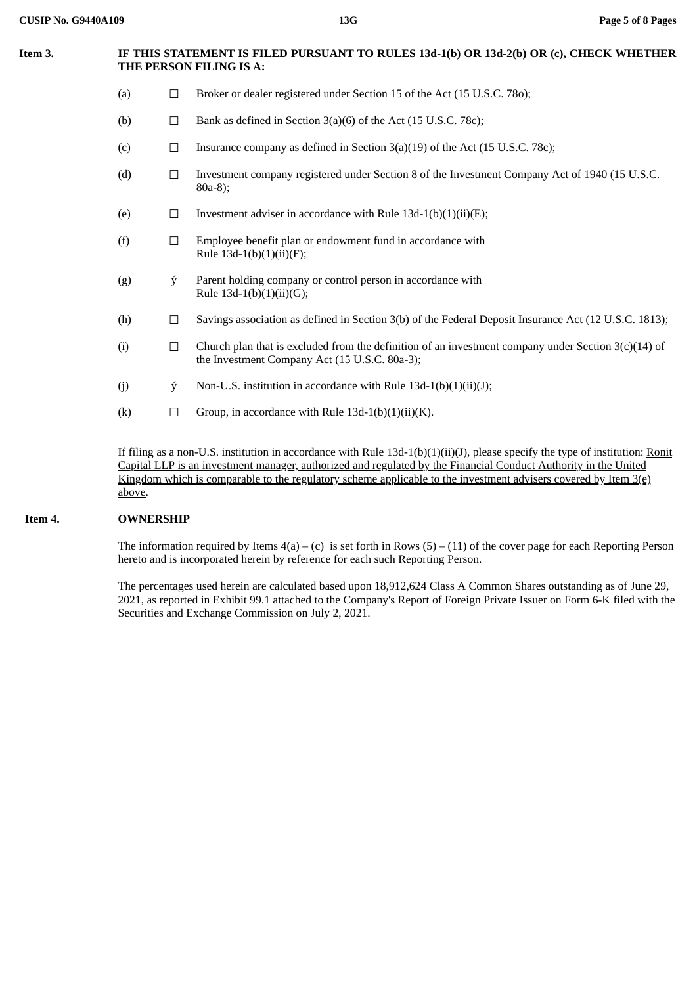# **Item 3. IF THIS STATEMENT IS FILED PURSUANT TO RULES 13d-1(b) OR 13d-2(b) OR (c), CHECK WHETHER THE PERSON FILING IS A:** (a)  $\Box$  Broker or dealer registered under Section 15 of the Act (15 U.S.C. 780); (b)  $\Box$  Bank as defined in Section 3(a)(6) of the Act (15 U.S.C. 78c); (c)  $\Box$  Insurance company as defined in Section 3(a)(19) of the Act (15 U.S.C. 78c); (d) ☐ Investment company registered under Section 8 of the Investment Company Act of 1940 (15 U.S.C. 80a-8); (e)  $\Box$  Investment adviser in accordance with Rule 13d-1(b)(1)(ii)(E); (f)  $□$  Employee benefit plan or endowment fund in accordance with Rule  $13d-1(b)(1)(ii)(F);$ (g) ý Parent holding company or control person in accordance with Rule 13d-1(b)(1)(ii)(G); (h) ☐ Savings association as defined in Section 3(b) of the Federal Deposit Insurance Act (12 U.S.C. 1813); (i)  $\Box$  Church plan that is excluded from the definition of an investment company under Section 3(c)(14) of the Investment Company Act (15 U.S.C. 80a-3); (i)  $\dot{y}$  Non-U.S. institution in accordance with Rule 13d-1(b)(1)(ii)(J);

(k)  $\Box$  Group, in accordance with Rule 13d-1(b)(1)(ii)(K).

If filing as a non-U.S. institution in accordance with Rule 13d-1(b)(1)(ii)(J), please specify the type of institution: Ronit Capital LLP is an investment manager, authorized and regulated by the Financial Conduct Authority in the United Kingdom which is comparable to the regulatory scheme applicable to the investment advisers covered by Item 3(e) above.

# **Item 4. OWNERSHIP**

The information required by Items  $4(a) - (c)$  is set forth in Rows  $(5) - (11)$  of the cover page for each Reporting Person hereto and is incorporated herein by reference for each such Reporting Person.

The percentages used herein are calculated based upon 18,912,624 Class A Common Shares outstanding as of June 29, 2021, as reported in Exhibit 99.1 attached to the Company's Report of Foreign Private Issuer on Form 6-K filed with the Securities and Exchange Commission on July 2, 2021.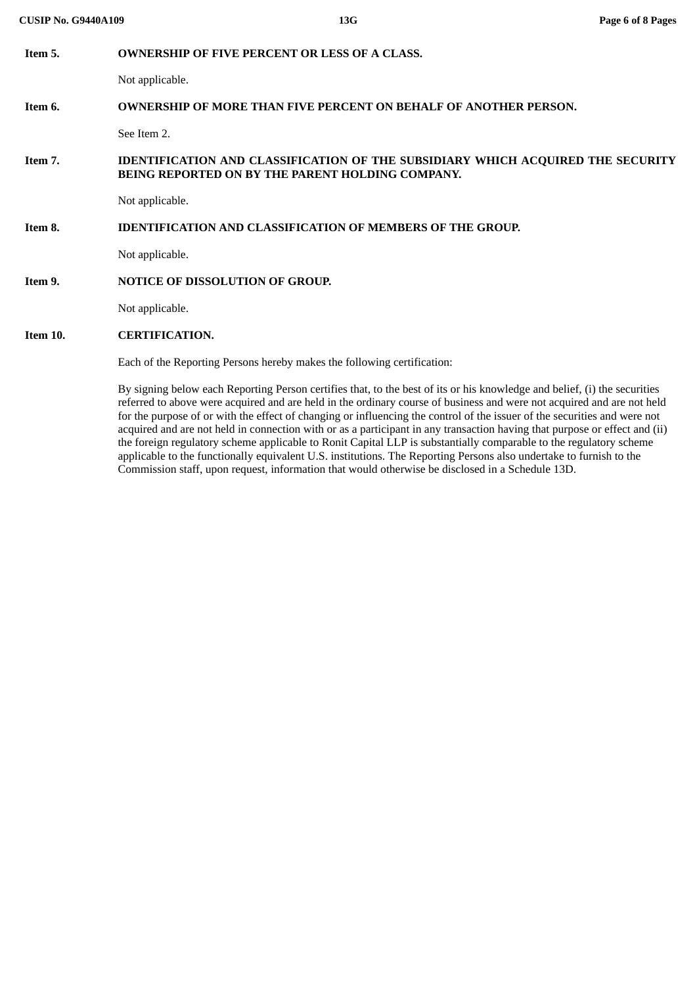| Item 5.  | <b>OWNERSHIP OF FIVE PERCENT OR LESS OF A CLASS.</b>                                                                                                                                                                                                                                                                                                                             |  |  |
|----------|----------------------------------------------------------------------------------------------------------------------------------------------------------------------------------------------------------------------------------------------------------------------------------------------------------------------------------------------------------------------------------|--|--|
|          | Not applicable.                                                                                                                                                                                                                                                                                                                                                                  |  |  |
| Item 6.  | <b>OWNERSHIP OF MORE THAN FIVE PERCENT ON BEHALF OF ANOTHER PERSON.</b>                                                                                                                                                                                                                                                                                                          |  |  |
|          | See Item 2.                                                                                                                                                                                                                                                                                                                                                                      |  |  |
| Item 7.  | <b>IDENTIFICATION AND CLASSIFICATION OF THE SUBSIDIARY WHICH ACQUIRED THE SECURITY</b><br>BEING REPORTED ON BY THE PARENT HOLDING COMPANY.                                                                                                                                                                                                                                       |  |  |
|          | Not applicable.                                                                                                                                                                                                                                                                                                                                                                  |  |  |
| Item 8.  | <b>IDENTIFICATION AND CLASSIFICATION OF MEMBERS OF THE GROUP.</b>                                                                                                                                                                                                                                                                                                                |  |  |
|          | Not applicable.                                                                                                                                                                                                                                                                                                                                                                  |  |  |
| Item 9.  | <b>NOTICE OF DISSOLUTION OF GROUP.</b>                                                                                                                                                                                                                                                                                                                                           |  |  |
|          | Not applicable.                                                                                                                                                                                                                                                                                                                                                                  |  |  |
| Item 10. | <b>CERTIFICATION.</b>                                                                                                                                                                                                                                                                                                                                                            |  |  |
|          | Each of the Reporting Persons hereby makes the following certification:                                                                                                                                                                                                                                                                                                          |  |  |
|          | By signing below each Reporting Person certifies that, to the best of its or his knowledge and belief, (i) the securities<br>referred to above were acquired and are held in the ordinary course of business and were not acquired and are not held<br>for the purpose of or with the effect of changing or influencing the control of the issuer of the securities and were not |  |  |

Commission staff, upon request, information that would otherwise be disclosed in a Schedule 13D.

acquired and are not held in connection with or as a participant in any transaction having that purpose or effect and (ii) the foreign regulatory scheme applicable to Ronit Capital LLP is substantially comparable to the regulatory scheme applicable to the functionally equivalent U.S. institutions. The Reporting Persons also undertake to furnish to the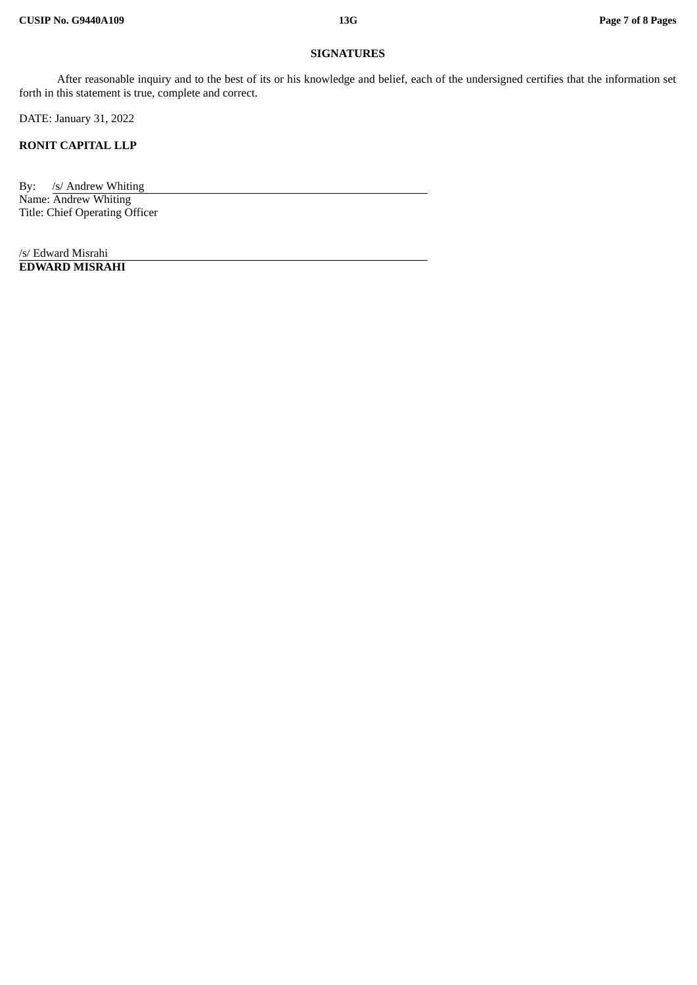#### **SIGNATURES**

After reasonable inquiry and to the best of its or his knowledge and belief, each of the undersigned certifies that the information set forth in this statement is true, complete and correct.

DATE: January 31, 2022

**RONIT CAPITAL LLP**

By: /s/ Andrew Whiting Name: Andrew Whiting Title: Chief Operating Officer

/s/ Edward Misrahi **EDWARD MISRAHI**